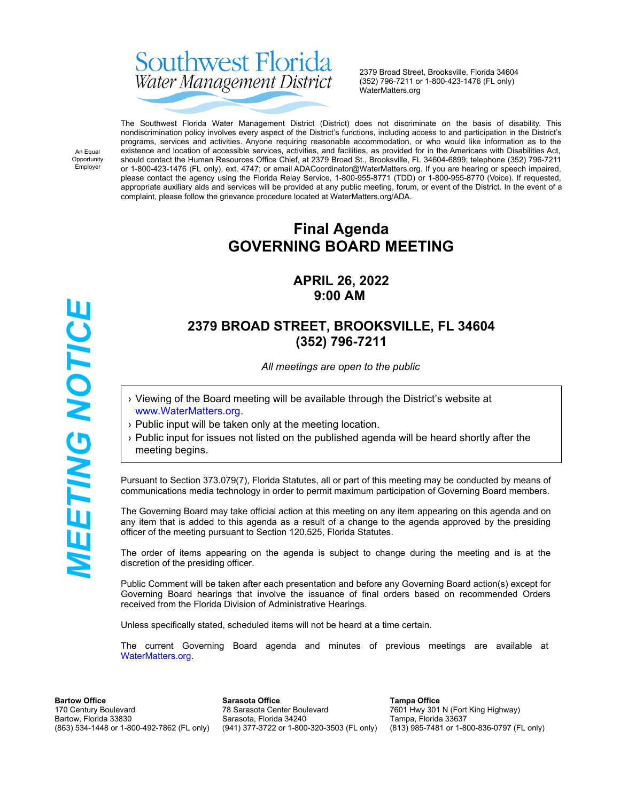# Southwest Florida Water Management District

2379 Broad Street, Brooksville, Florida 34604 (352) 796-7211 or 1-800-423-1476 (FL only) WaterMatters.org

An Equal Opportunity Employer

The Southwest Florida Water Management District (District) does not discriminate on the basis of disability. This nondiscrimination policy involves every aspect of the District's functions, including access to and participation in the District's programs, services and activities. Anyone requiring reasonable accommodation, or who would like information as to the existence and location of accessible services, activities, and facilities, as provided for in the Americans with Disabilities Act, should contact the Human Resources Office Chief, at 2379 Broad St., Brooksville, FL 34604-6899; telephone (352) 796-7211 or 1-800-423-1476 (FL only), ext. 4747; or email ADACoordinator@WaterMatters.org. If you are hearing or speech impaired, please contact the agency using the Florida Relay Service, 1-800-955-8771 (TDD) or 1-800-955-8770 (Voice). If requested, appropriate auxiliary aids and services will be provided at any public meeting, forum, or event of the District. In the event of a complaint, please follow the grievance procedure located at WaterMatters.org/ADA.

# **Final Agenda GOVERNING BOARD MEETING**

# **APRIL 26, 2022 9:00 AM**

# **2379 BROAD STREET, BROOKSVILLE, FL 34604 (352) 796-7211**

*All meetings are open to the public*

- › Viewing of the Board meeting will be available through the District's website at [www.WaterMatters.org](https://www.watermatters.org/).
- › Public input will be taken only at the meeting location.
- › Public input for issues not listed on the published agenda will be heard shortly after the meeting begins.

Pursuant to Section 373.079(7), Florida Statutes, all or part of this meeting may be conducted by means of communications media technology in order to permit maximum participation of Governing Board members.

The Governing Board may take official action at this meeting on any item appearing on this agenda and on any item that is added to this agenda as a result of a change to the agenda approved by the presiding officer of the meeting pursuant to Section 120.525, Florida Statutes.

The order of items appearing on the agenda is subject to change during the meeting and is at the discretion of the presiding officer.

Public Comment will be taken after each presentation and before any Governing Board action(s) except for Governing Board hearings that involve the issuance of final orders based on recommended Orders received from the Florida Division of Administrative Hearings.

Unless specifically stated, scheduled items will not be heard at a time certain.

The current Governing Board agenda and minutes of previous meetings are available at [WaterMatters.org](https://www.watermatters.org).

**Bartow Office** 170 Century Boulevard Bartow, Florida 33830 (863) 534-1448 or 1-800-492-7862 (FL only)

**Sarasota Office** 78 Sarasota Center Boulevard Sarasota, Florida 34240 (941) 377-3722 or 1-800-320-3503 (FL only)

**Tampa Office** 7601 Hwy 301 N (Fort King Highway) Tampa, Florida 33637 (813) 985-7481 or 1-800-836-0797 (FL only)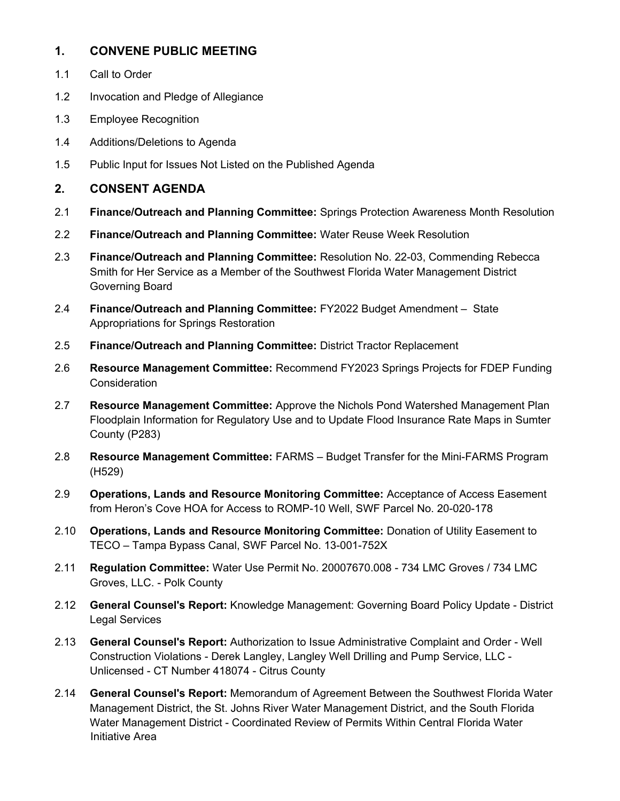#### **1. CONVENE PUBLIC MEETING**

- 1.1 Call to Order
- 1.2 Invocation and Pledge of Allegiance
- 1.3 Employee Recognition
- 1.4 Additions/Deletions to Agenda
- 1.5 Public Input for Issues Not Listed on the Published Agenda

#### **2. CONSENT AGENDA**

- 2.1 **Finance/Outreach and Planning Committee:** Springs Protection Awareness Month Resolution
- 2.2 **Finance/Outreach and Planning Committee:** Water Reuse Week Resolution
- 2.3 **Finance/Outreach and Planning Committee:** Resolution No. 22-03, Commending Rebecca Smith for Her Service as a Member of the Southwest Florida Water Management District Governing Board
- 2.4 **Finance/Outreach and Planning Committee:** FY2022 Budget Amendment State Appropriations for Springs Restoration
- 2.5 **Finance/Outreach and Planning Committee:** District Tractor Replacement
- 2.6 **Resource Management Committee:** Recommend FY2023 Springs Projects for FDEP Funding Consideration
- 2.7 **Resource Management Committee:** Approve the Nichols Pond Watershed Management Plan Floodplain Information for Regulatory Use and to Update Flood Insurance Rate Maps in Sumter County (P283)
- 2.8 **Resource Management Committee:** FARMS Budget Transfer for the Mini-FARMS Program (H529)
- 2.9 **Operations, Lands and Resource Monitoring Committee:** Acceptance of Access Easement from Heron's Cove HOA for Access to ROMP-10 Well, SWF Parcel No. 20-020-178
- 2.10 **Operations, Lands and Resource Monitoring Committee:** Donation of Utility Easement to TECO – Tampa Bypass Canal, SWF Parcel No. 13-001-752X
- 2.11 **Regulation Committee:** Water Use Permit No. 20007670.008 734 LMC Groves / 734 LMC Groves, LLC. - Polk County
- 2.12 **General Counsel's Report:** Knowledge Management: Governing Board Policy Update District Legal Services
- 2.13 **General Counsel's Report:** Authorization to Issue Administrative Complaint and Order Well Construction Violations - Derek Langley, Langley Well Drilling and Pump Service, LLC - Unlicensed - CT Number 418074 - Citrus County
- 2.14 **General Counsel's Report:** Memorandum of Agreement Between the Southwest Florida Water Management District, the St. Johns River Water Management District, and the South Florida Water Management District - Coordinated Review of Permits Within Central Florida Water Initiative Area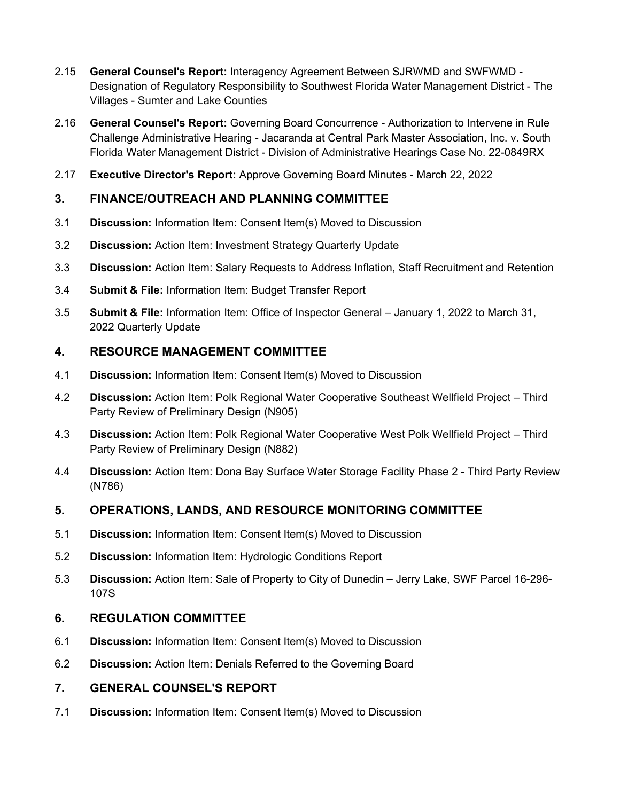- 2.15 **General Counsel's Report:** Interagency Agreement Between SJRWMD and SWFWMD Designation of Regulatory Responsibility to Southwest Florida Water Management District - The Villages - Sumter and Lake Counties
- 2.16 **General Counsel's Report:** Governing Board Concurrence Authorization to Intervene in Rule Challenge Administrative Hearing - Jacaranda at Central Park Master Association, Inc. v. South Florida Water Management District - Division of Administrative Hearings Case No. 22-0849RX
- 2.17 **Executive Director's Report:** Approve Governing Board Minutes March 22, 2022

# **3. FINANCE/OUTREACH AND PLANNING COMMITTEE**

- 3.1 **Discussion:** Information Item: Consent Item(s) Moved to Discussion
- 3.2 **Discussion:** Action Item: Investment Strategy Quarterly Update
- 3.3 **Discussion:** Action Item: Salary Requests to Address Inflation, Staff Recruitment and Retention
- 3.4 **Submit & File:** Information Item: Budget Transfer Report
- 3.5 **Submit & File:** Information Item: Office of Inspector General January 1, 2022 to March 31, 2022 Quarterly Update

### **4. RESOURCE MANAGEMENT COMMITTEE**

- 4.1 **Discussion:** Information Item: Consent Item(s) Moved to Discussion
- 4.2 **Discussion:** Action Item: Polk Regional Water Cooperative Southeast Wellfield Project Third Party Review of Preliminary Design (N905)
- 4.3 **Discussion:** Action Item: Polk Regional Water Cooperative West Polk Wellfield Project Third Party Review of Preliminary Design (N882)
- 4.4 **Discussion:** Action Item: Dona Bay Surface Water Storage Facility Phase 2 Third Party Review (N786)

# **5. OPERATIONS, LANDS, AND RESOURCE MONITORING COMMITTEE**

- 5.1 **Discussion:** Information Item: Consent Item(s) Moved to Discussion
- 5.2 **Discussion:** Information Item: Hydrologic Conditions Report
- 5.3 **Discussion:** Action Item: Sale of Property to City of Dunedin Jerry Lake, SWF Parcel 16-296- 107S

#### **6. REGULATION COMMITTEE**

- 6.1 **Discussion:** Information Item: Consent Item(s) Moved to Discussion
- 6.2 **Discussion:** Action Item: Denials Referred to the Governing Board

#### **7. GENERAL COUNSEL'S REPORT**

7.1 **Discussion:** Information Item: Consent Item(s) Moved to Discussion